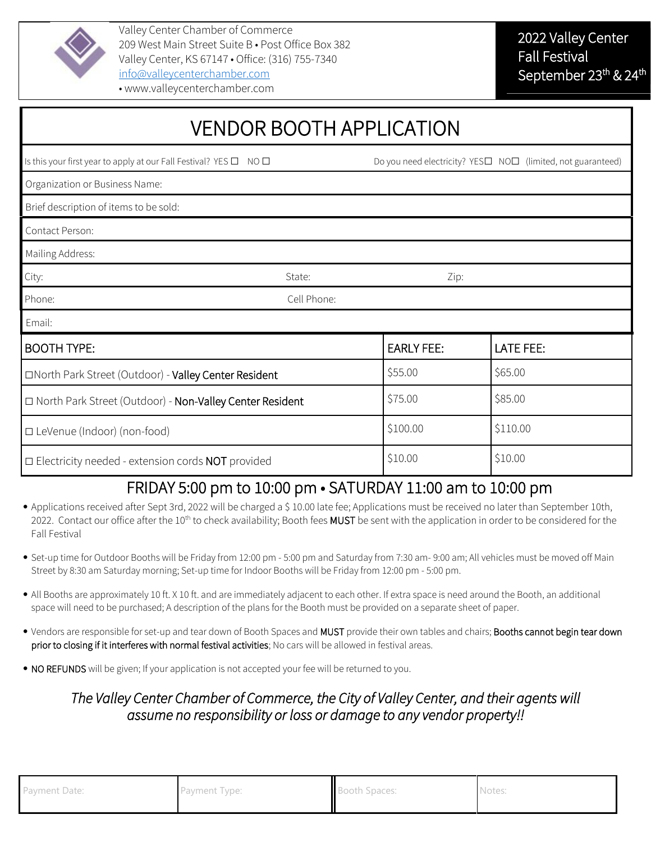

Valley Center Chamber of Commerce 209 West Main Street Suite B • Post Office Box 382 Valley Center, KS 67147 • Office: (316) 755-7340 [info@valleycenterchamber.com](mailto:info@valleycenterchamber.com)

| <b>VENDOR BOOTH APPLICATION</b>                                                   |             |                                                             |                  |  |
|-----------------------------------------------------------------------------------|-------------|-------------------------------------------------------------|------------------|--|
| Is this your first year to apply at our Fall Festival? YES $\square$ NO $\square$ |             | Do you need electricity? YES□ NO□ (limited, not guaranteed) |                  |  |
| Organization or Business Name:                                                    |             |                                                             |                  |  |
| Brief description of items to be sold:                                            |             |                                                             |                  |  |
| Contact Person:                                                                   |             |                                                             |                  |  |
| Mailing Address:                                                                  |             |                                                             |                  |  |
| City:                                                                             | State:      | Zip:                                                        |                  |  |
| Phone:                                                                            | Cell Phone: |                                                             |                  |  |
| Email:                                                                            |             |                                                             |                  |  |
| <b>BOOTH TYPE:</b>                                                                |             | <b>EARLY FEE:</b>                                           | <b>LATE FEE:</b> |  |
| □North Park Street (Outdoor) - Valley Center Resident                             |             | \$55.00                                                     | \$65.00          |  |
| □ North Park Street (Outdoor) - Non-Valley Center Resident                        |             | \$75.00                                                     | \$85.00          |  |
| □ LeVenue (Indoor) (non-food)                                                     |             | \$100.00                                                    | \$110.00         |  |
| $\Box$ Electricity needed - extension cords NOT provided                          |             | \$10.00                                                     | \$10.00          |  |

## FRIDAY 5:00 pm to 10:00 pm • SATURDAY 11:00 am to 10:00 pm

- Applications received after Sept 3rd, 2022 will be charged a \$ 10.00 late fee; Applications must be received no later than September 10th, 2022. Contact our office after the 10<sup>th</sup> to check availability; Booth fees MUST be sent with the application in order to be considered for the Fall Festival
- Set-up time for Outdoor Booths will be Friday from 12:00 pm 5:00 pm and Saturday from 7:30 am- 9:00 am; All vehicles must be moved off Main Street by 8:30 am Saturday morning; Set-up time for Indoor Booths will be Friday from 12:00 pm - 5:00 pm.
- All Booths are approximately 10 ft. X 10 ft. and are immediately adjacent to each other. If extra space is need around the Booth, an additional space will need to be purchased; A description of the plans for the Booth must be provided on a separate sheet of paper.
- Vendors are responsible for set-up and tear down of Booth Spaces and MUST provide their own tables and chairs; Booths cannot begin tear down prior to closing if it interferes with normal festival activities; No cars will be allowed in festival areas.
- NO REFUNDS will be given; If your application is not accepted your fee will be returned to you.

## *The Valley Center Chamber of Commerce, the City of Valley Center, and their agents will assume no responsibility or loss or damage to any vendor property!!*

| Payment Date: | Payment Type: | Booth Spaces: | Notes: |
|---------------|---------------|---------------|--------|
|               |               |               |        |